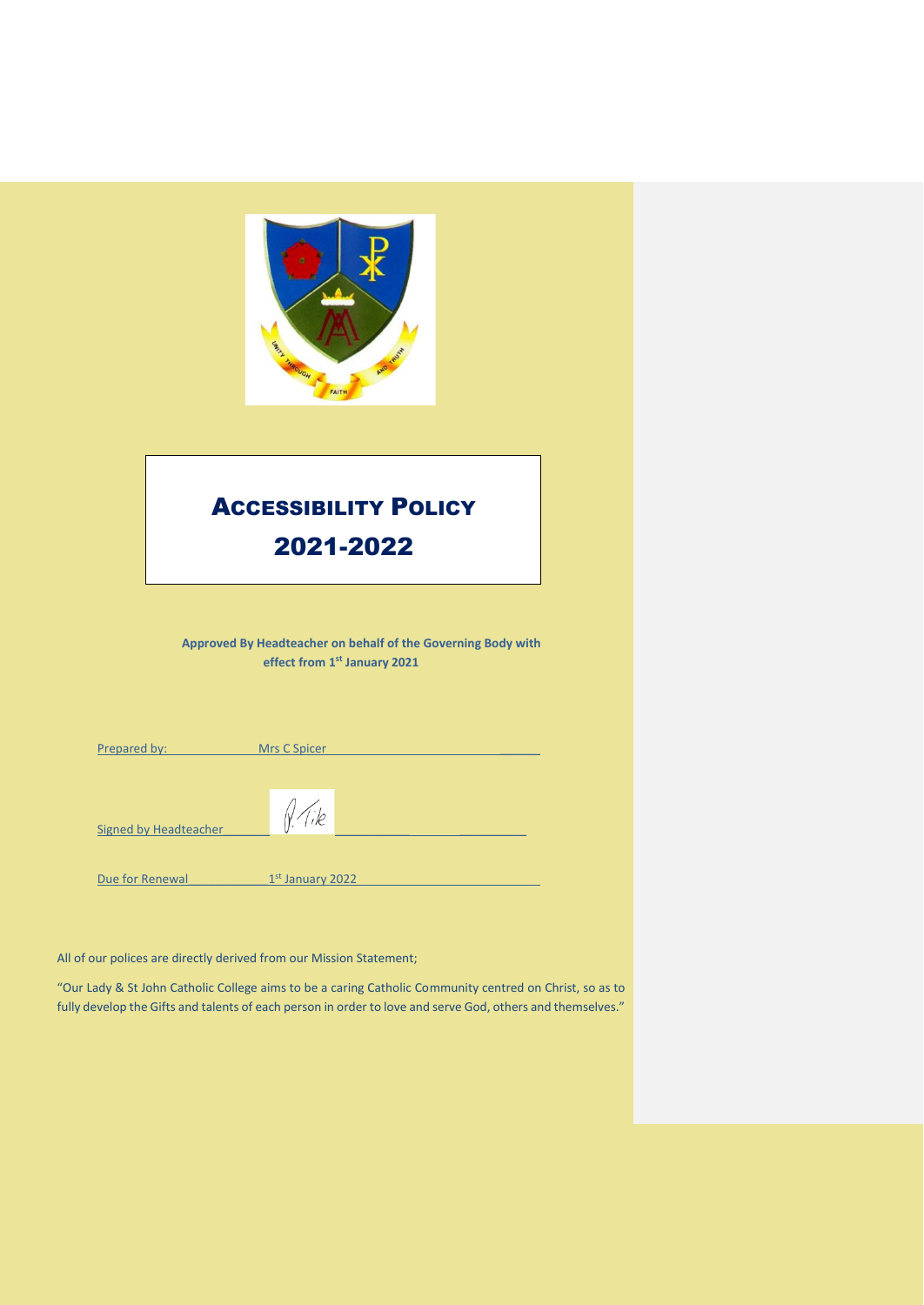

All of our polices are directly derived from our Mission Statement;

"Our Lady & St John Catholic College aims to be a caring Catholic Community centred on Christ, so as to fully develop the Gifts and talents of each person in order to love and serve God, others and themselves."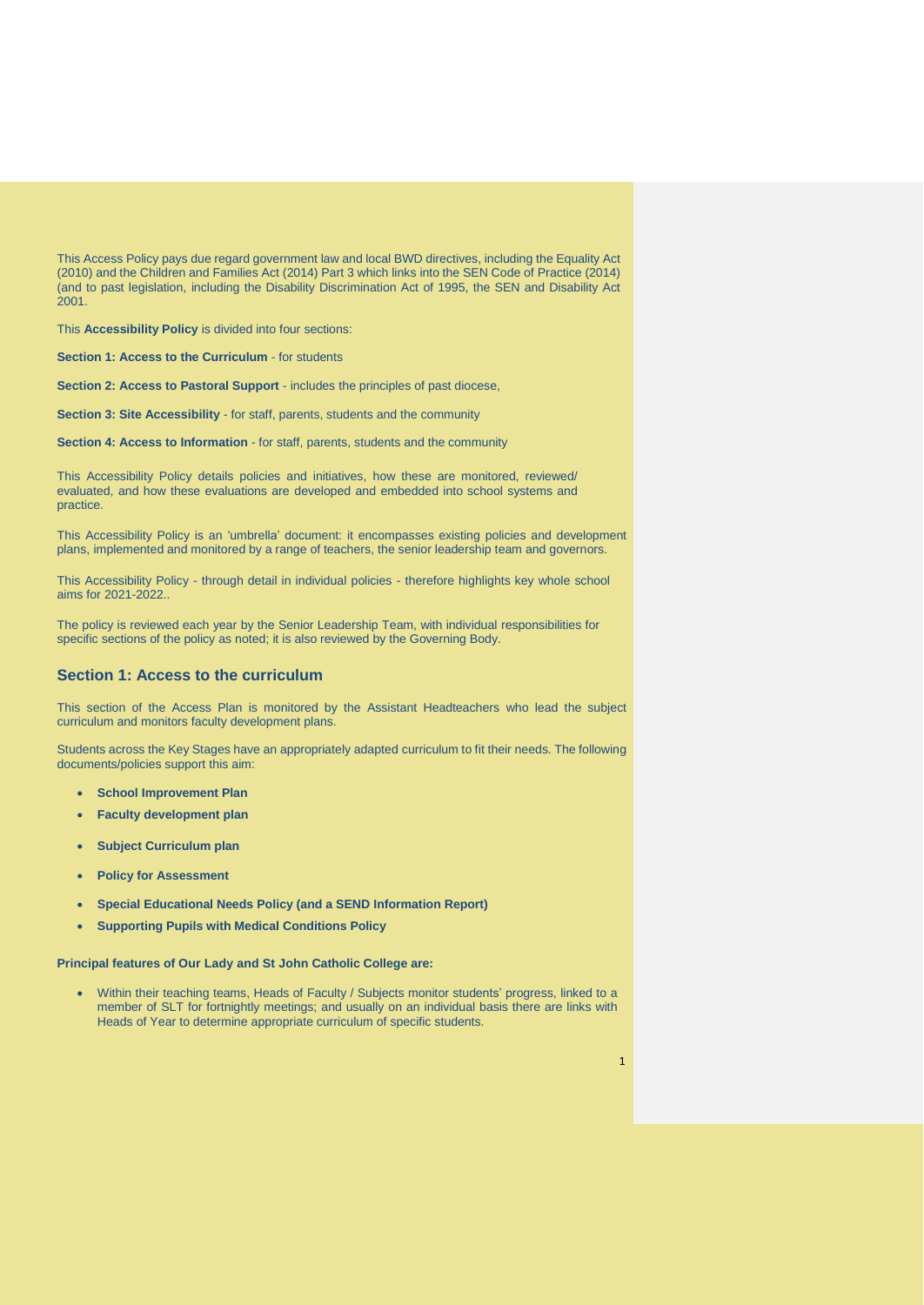This Access Policy pays due regard government law and local BWD directives, including the Equality Act (2010) and the Children and Families Act (2014) Part 3 which links into the SEN Code of Practice (2014) (and to past legislation, including the Disability Discrimination Act of 1995, the SEN and Disability Act 2001.

This **Accessibility Policy** is divided into four sections:

**Section 1: Access to the Curriculum** - for students

**Section 2: Access to Pastoral Support** - includes the principles of past diocese,

**Section 3: Site Accessibility** - for staff, parents, students and the community

**Section 4: Access to Information - for staff, parents, students and the community** 

This Accessibility Policy details policies and initiatives, how these are monitored, reviewed/ evaluated, and how these evaluations are developed and embedded into school systems and practice.

This Accessibility Policy is an 'umbrella' document: it encompasses existing policies and development plans, implemented and monitored by a range of teachers, the senior leadership team and governors.

This Accessibility Policy - through detail in individual policies - therefore highlights key whole school aims for 2021-2022..

The policy is reviewed each year by the Senior Leadership Team, with individual responsibilities for specific sections of the policy as noted; it is also reviewed by the Governing Body.

# **Section 1: Access to the curriculum**

This section of the Access Plan is monitored by the Assistant Headteachers who lead the subject curriculum and monitors faculty development plans.

Students across the Key Stages have an appropriately adapted curriculum to fit their needs. The following documents/policies support this aim:

- **School Improvement Plan**
- **Faculty development plan**
- **Subject Curriculum plan**
- **Policy for Assessment**
- **Special Educational Needs Policy (and a SEND Information Report)**
- **Supporting Pupils with Medical Conditions Policy**

**Principal features of Our Lady and St John Catholic College are:**

• Within their teaching teams, Heads of Faculty / Subjects monitor students' progress, linked to a member of SLT for fortnightly meetings; and usually on an individual basis there are links with Heads of Year to determine appropriate curriculum of specific students.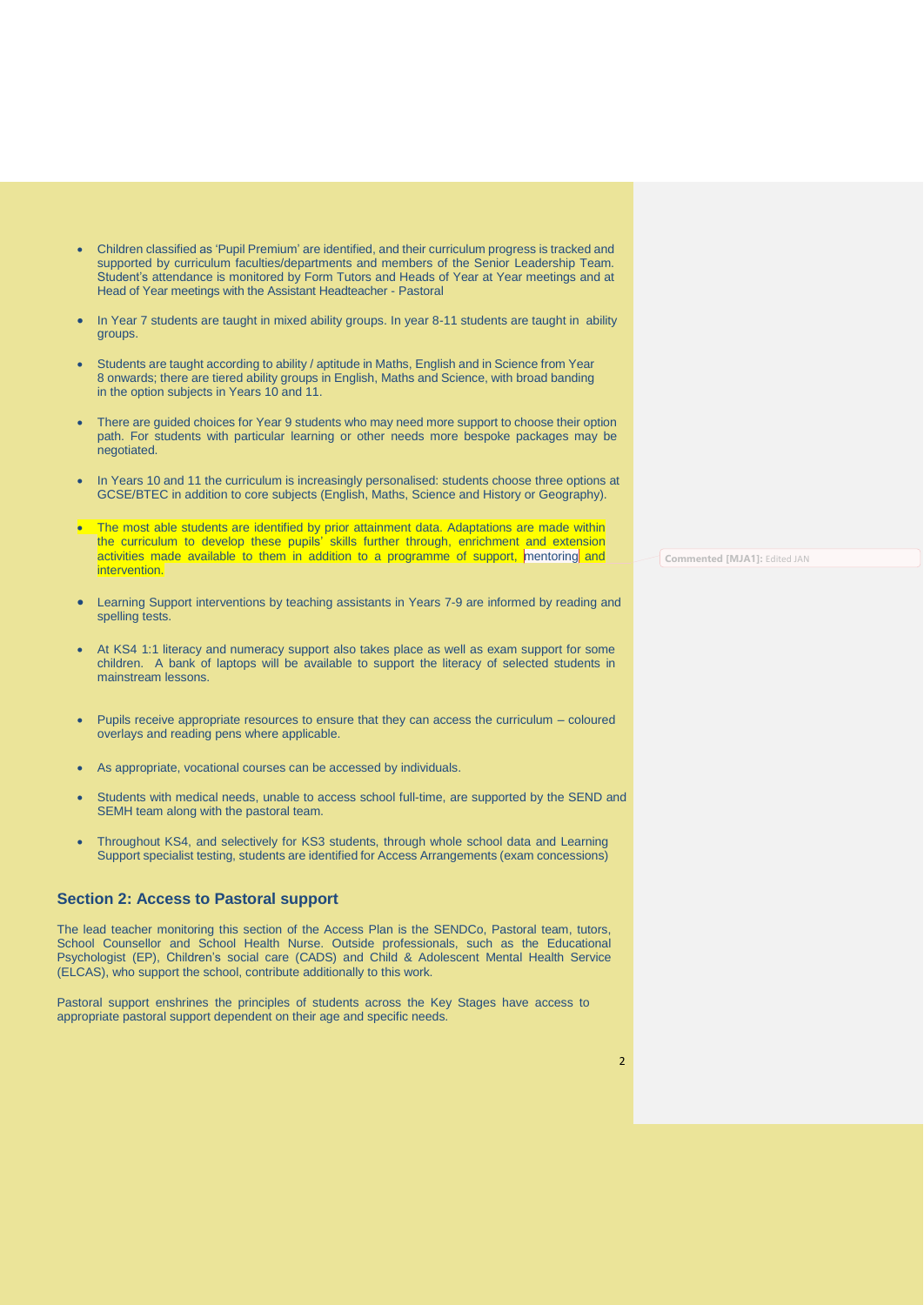- Children classified as 'Pupil Premium' are identified, and their curriculum progress is tracked and supported by curriculum faculties/departments and members of the Senior Leadership Team. Student's attendance is monitored by Form Tutors and Heads of Year at Year meetings and at Head of Year meetings with the Assistant Headteacher - Pastoral
- In Year 7 students are taught in mixed ability groups. In year 8-11 students are taught in ability groups.
- Students are taught according to ability / aptitude in Maths, English and in Science from Year 8 onwards; there are tiered ability groups in English, Maths and Science, with broad banding in the option subjects in Years 10 and 11.
- There are quided choices for Year 9 students who may need more support to choose their option path. For students with particular learning or other needs more bespoke packages may be negotiated.
- In Years 10 and 11 the curriculum is increasingly personalised: students choose three options at GCSE/BTEC in addition to core subjects (English, Maths, Science and History or Geography).
- The most able students are identified by prior attainment data. Adaptations are made within the curriculum to develop these pupils' skills further through, enrichment and extension activities made available to them in addition to a programme of support, mentoring and intervention.
- Learning Support interventions by teaching assistants in Years 7-9 are informed by reading and spelling tests.
- At KS4 1:1 literacy and numeracy support also takes place as well as exam support for some children. A bank of laptops will be available to support the literacy of selected students in mainstream lessons.
- Pupils receive appropriate resources to ensure that they can access the curriculum coloured overlays and reading pens where applicable.
- As appropriate, vocational courses can be accessed by individuals.
- Students with medical needs, unable to access school full-time, are supported by the SEND and SEMH team along with the pastoral team.
- Throughout KS4, and selectively for KS3 students, through whole school data and Learning Support specialist testing, students are identified for Access Arrangements (exam concessions)

## **Section 2: Access to Pastoral support**

The lead teacher monitoring this section of the Access Plan is the SENDCo, Pastoral team, tutors, School Counsellor and School Health Nurse. Outside professionals, such as the Educational Psychologist (EP), Children's social care (CADS) and Child & Adolescent Mental Health Service (ELCAS), who support the school, contribute additionally to this work.

Pastoral support enshrines the principles of students across the Key Stages have access to appropriate pastoral support dependent on their age and specific needs.

**Commented [MJA1]:** Edited JAN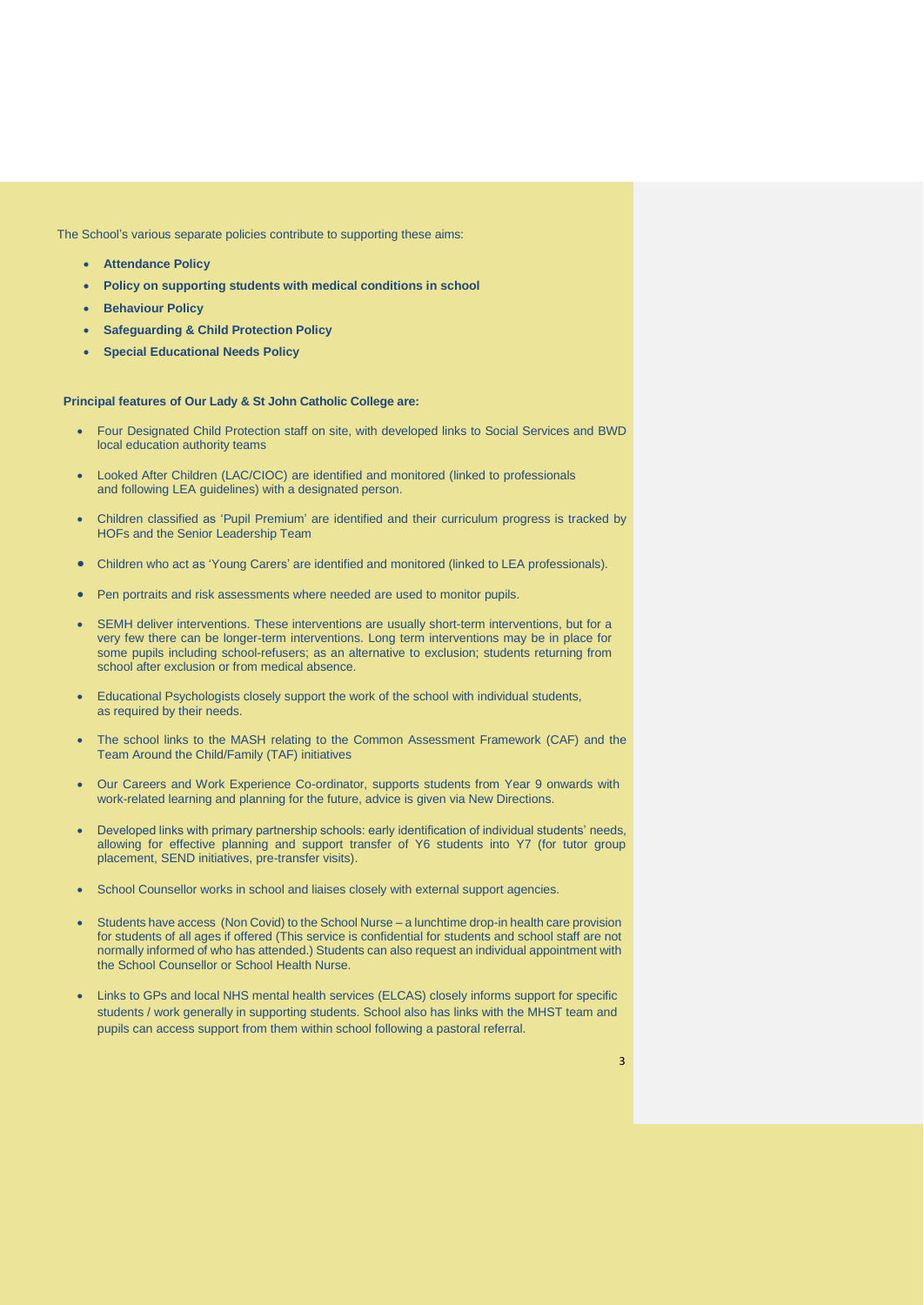The School's various separate policies contribute to supporting these aims:

- **Attendance Policy**
- **Policy on supporting students with medical conditions in school**
- **Behaviour Policy**
- **Safeguarding & Child Protection Policy**
- **Special Educational Needs Policy**

### **Principal features of Our Lady & St John Catholic College are:**

- Four Designated Child Protection staff on site, with developed links to Social Services and BWD local education authority teams
- Looked After Children (LAC/CIOC) are identified and monitored (linked to professionals and following LEA guidelines) with a designated person.
- Children classified as 'Pupil Premium' are identified and their curriculum progress is tracked by HOFs and the Senior Leadership Team
- Children who act as 'Young Carers' are identified and monitored (linked to LEA professionals).
- Pen portraits and risk assessments where needed are used to monitor pupils.
- SEMH deliver interventions. These interventions are usually short-term interventions, but for a very few there can be longer-term interventions. Long term interventions may be in place for some pupils including school-refusers; as an alternative to exclusion; students returning from school after exclusion or from medical absence.
- Educational Psychologists closely support the work of the school with individual students, as required by their needs.
- The school links to the MASH relating to the Common Assessment Framework (CAF) and the Team Around the Child/Family (TAF) initiatives
- Our Careers and Work Experience Co-ordinator, supports students from Year 9 onwards with work-related learning and planning for the future, advice is given via New Directions.
- Developed links with primary partnership schools: early identification of individual students' needs, allowing for effective planning and support transfer of Y6 students into Y7 (for tutor group placement, SEND initiatives, pre-transfer visits).
- School Counsellor works in school and liaises closely with external support agencies.
- Students have access (Non Covid) to the School Nurse a lunchtime drop-in health care provision for students of all ages if offered (This service is confidential for students and school staff are not normally informed of who has attended.) Students can also request an individual appointment with the School Counsellor or School Health Nurse.
- Links to GPs and local NHS mental health services (ELCAS) closely informs support for specific students / work generally in supporting students. School also has links with the MHST team and pupils can access support from them within school following a pastoral referral.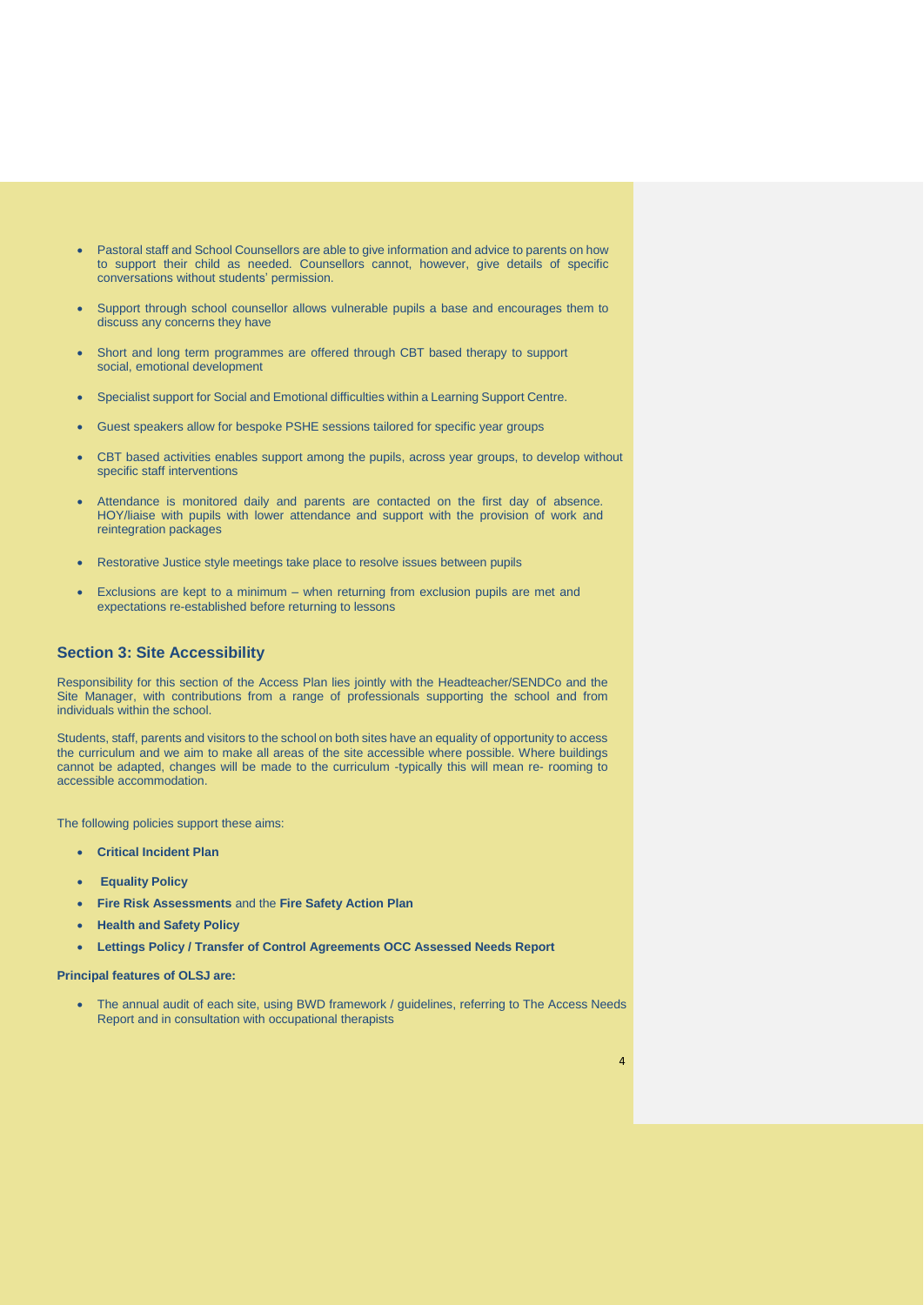- Pastoral staff and School Counsellors are able to give information and advice to parents on how to support their child as needed. Counsellors cannot, however, give details of specific conversations without students' permission.
- Support through school counsellor allows vulnerable pupils a base and encourages them to discuss any concerns they have
- Short and long term programmes are offered through CBT based therapy to support social, emotional development
- Specialist support for Social and Emotional difficulties within a Learning Support Centre.
- Guest speakers allow for bespoke PSHE sessions tailored for specific year groups
- CBT based activities enables support among the pupils, across year groups, to develop without specific staff interventions
- Attendance is monitored daily and parents are contacted on the first day of absence. HOY/liaise with pupils with lower attendance and support with the provision of work and reintegration packages
- Restorative Justice style meetings take place to resolve issues between pupils
- Exclusions are kept to a minimum when returning from exclusion pupils are met and expectations re-established before returning to lessons

# **Section 3: Site Accessibility**

Responsibility for this section of the Access Plan lies jointly with the Headteacher/SENDCo and the Site Manager, with contributions from a range of professionals supporting the school and from individuals within the school.

Students, staff, parents and visitors to the school on both sites have an equality of opportunity to access the curriculum and we aim to make all areas of the site accessible where possible. Where buildings cannot be adapted, changes will be made to the curriculum -typically this will mean re- rooming to accessible accommodation.

The following policies support these aims:

- **Critical Incident Plan**
- **Equality Policy**
- **Fire Risk Assessments** and the **Fire Safety Action Plan**
- **Health and Safety Policy**
- **Lettings Policy / Transfer of Control Agreements OCC Assessed Needs Report**

**Principal features of OLSJ are:**

• The annual audit of each site, using BWD framework / guidelines, referring to The Access Needs Report and in consultation with occupational therapists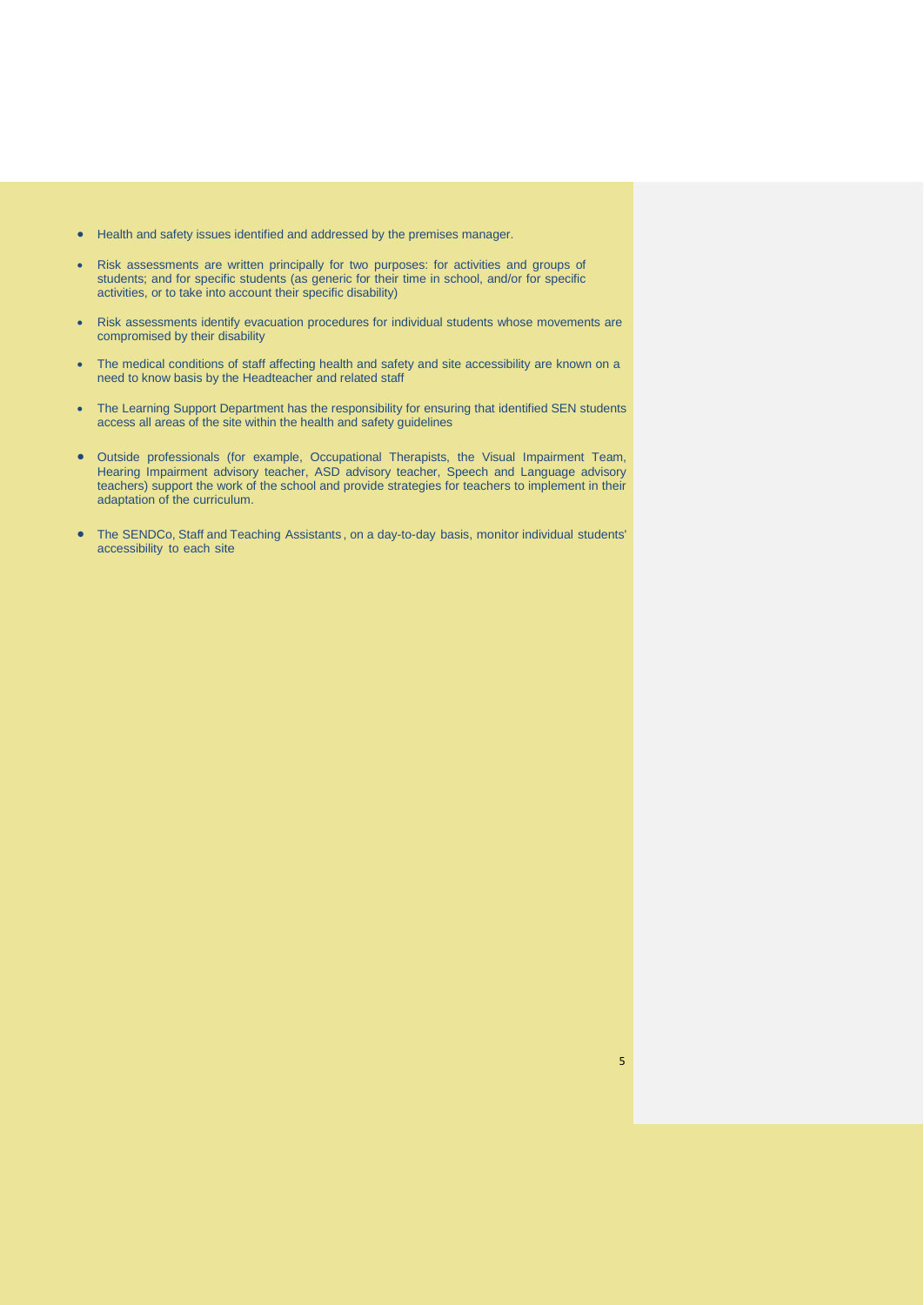- Health and safety issues identified and addressed by the premises manager.
- Risk assessments are written principally for two purposes: for activities and groups of students; and for specific students (as generic for their time in school, and/or for specific activities, or to take into account their specific disability)
- Risk assessments identify evacuation procedures for individual students whose movements are compromised by their disability
- The medical conditions of staff affecting health and safety and site accessibility are known on a need to know basis by the Headteacher and related staff
- The Learning Support Department has the responsibility for ensuring that identified SEN students access all areas of the site within the health and safety guidelines
- Outside professionals (for example, Occupational Therapists, the Visual Impairment Team, Hearing Impairment advisory teacher, ASD advisory teacher, Speech and Language advisory teachers) support the work of the school and provide strategies for teachers to implement in their adaptation of the curriculum.
- The SENDCo, Staff and Teaching Assistants , on a day-to-day basis, monitor individual students' accessibility to each site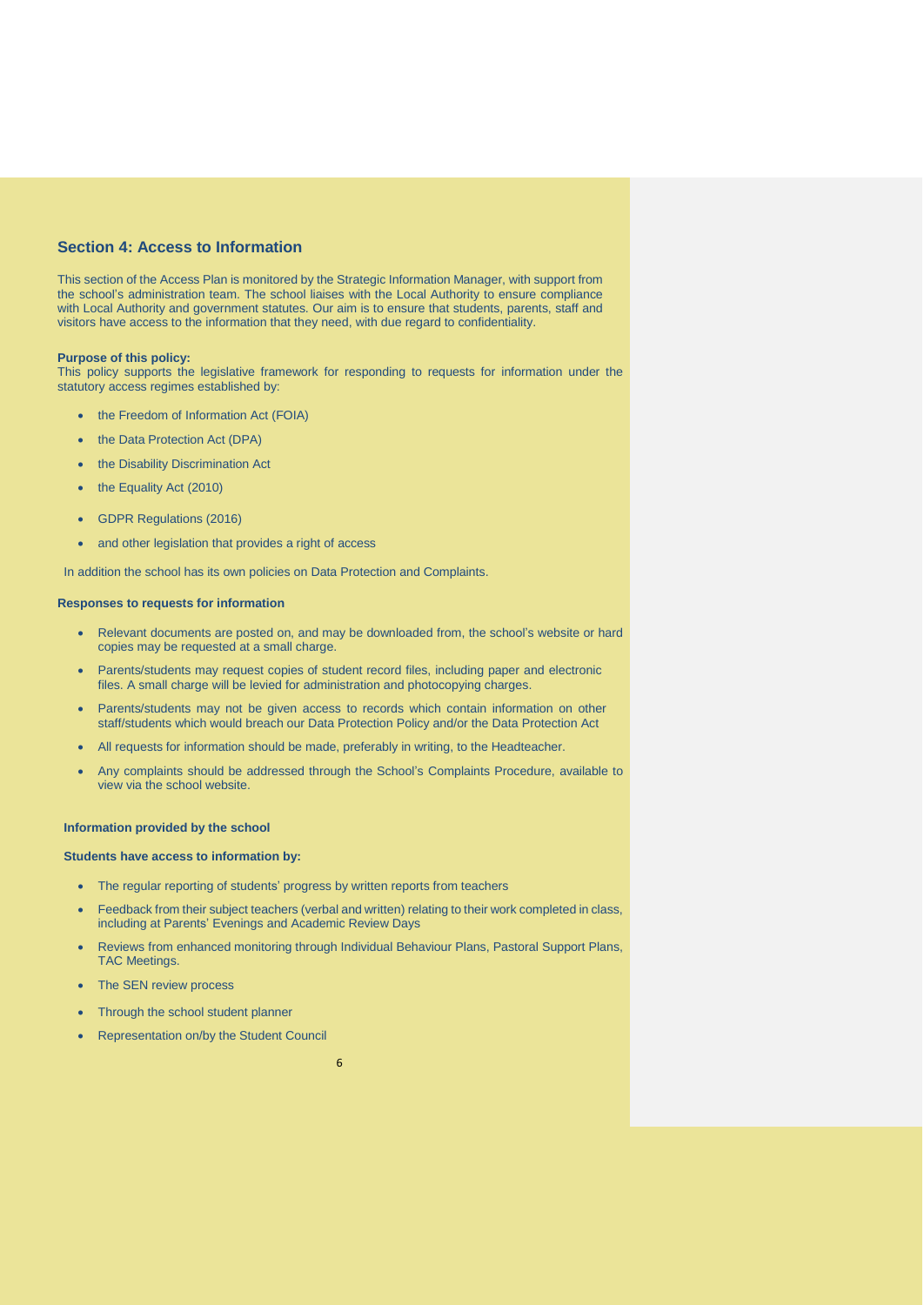# **Section 4: Access to Information**

This section of the Access Plan is monitored by the Strategic Information Manager, with support from the school's administration team. The school liaises with the Local Authority to ensure compliance with Local Authority and government statutes. Our aim is to ensure that students, parents, staff and visitors have access to the information that they need, with due regard to confidentiality.

### **Purpose of this policy:**

This policy supports the legislative framework for responding to requests for information under the statutory access regimes established by:

- the Freedom of Information Act (FOIA)
- the Data Protection Act (DPA)
- the Disability Discrimination Act
- the Equality Act (2010)
- GDPR Regulations (2016)
- and other legislation that provides a right of access

In addition the school has its own policies on Data Protection and Complaints.

#### **Responses to requests for information**

- Relevant documents are posted on, and may be downloaded from, the school's website or hard copies may be requested at a small charge.
- Parents/students may request copies of student record files, including paper and electronic files. A small charge will be levied for administration and photocopying charges.
- Parents/students may not be given access to records which contain information on other staff/students which would breach our Data Protection Policy and/or the Data Protection Act
- All requests for information should be made, preferably in writing, to the Headteacher.
- Any complaints should be addressed through the School's Complaints Procedure, available to view via the school website.

#### **Information provided by the school**

# **Students have access to information by:**

- The regular reporting of students' progress by written reports from teachers
- Feedback from their subject teachers (verbal and written) relating to their work completed in class, including at Parents' Evenings and Academic Review Days
- Reviews from enhanced monitoring through Individual Behaviour Plans, Pastoral Support Plans, TAC Meetings.
- The SEN review process
- Through the school student planner
- Representation on/by the Student Council